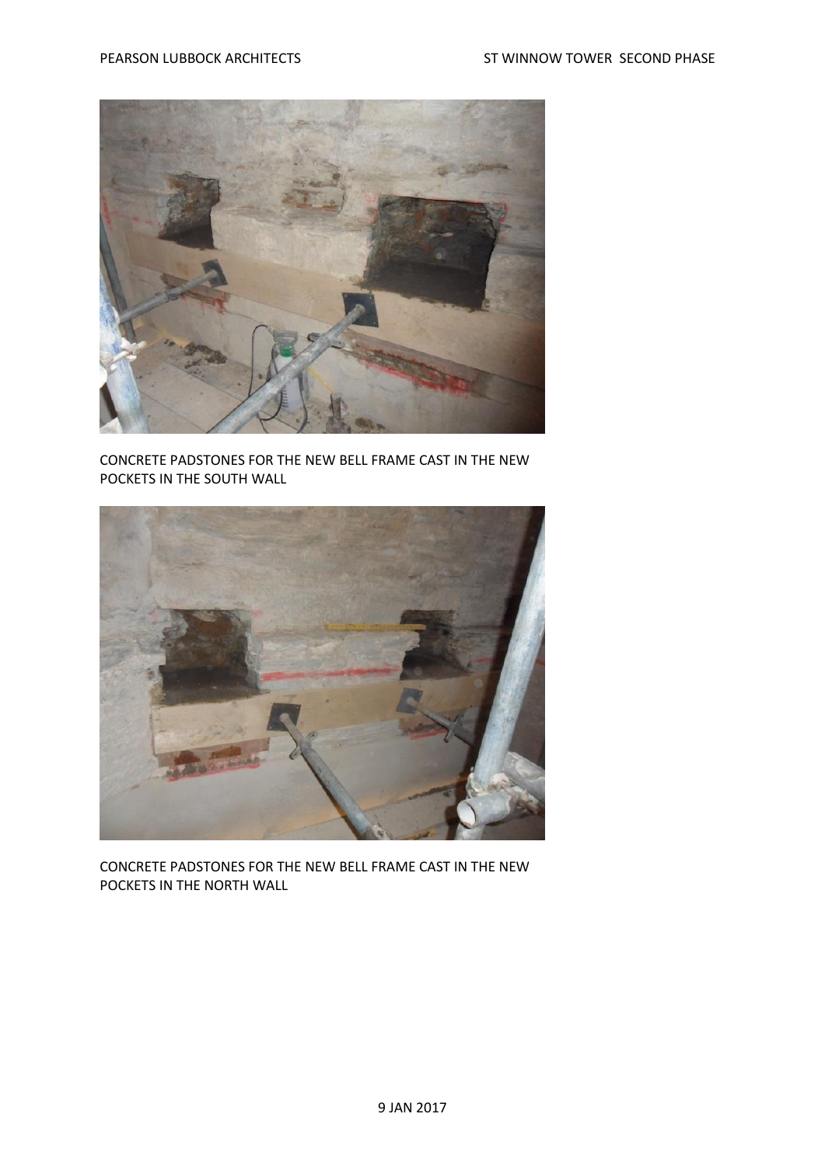

CONCRETE PADSTONES FOR THE NEW BELL FRAME CAST IN THE NEW POCKETS IN THE SOUTH WALL



CONCRETE PADSTONES FOR THE NEW BELL FRAME CAST IN THE NEW POCKETS IN THE NORTH WALL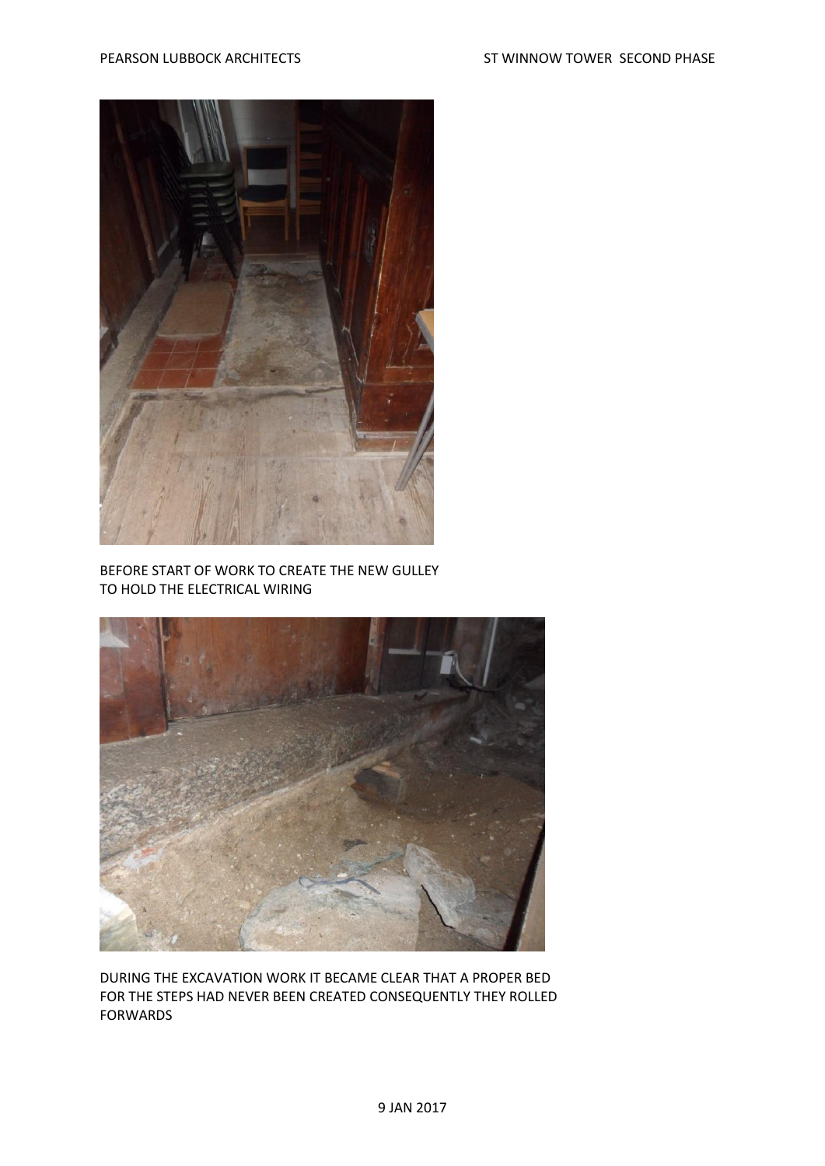

BEFORE START OF WORK TO CREATE THE NEW GULLEY TO HOLD THE ELECTRICAL WIRING



DURING THE EXCAVATION WORK IT BECAME CLEAR THAT A PROPER BED FOR THE STEPS HAD NEVER BEEN CREATED CONSEQUENTLY THEY ROLLED FORWARDS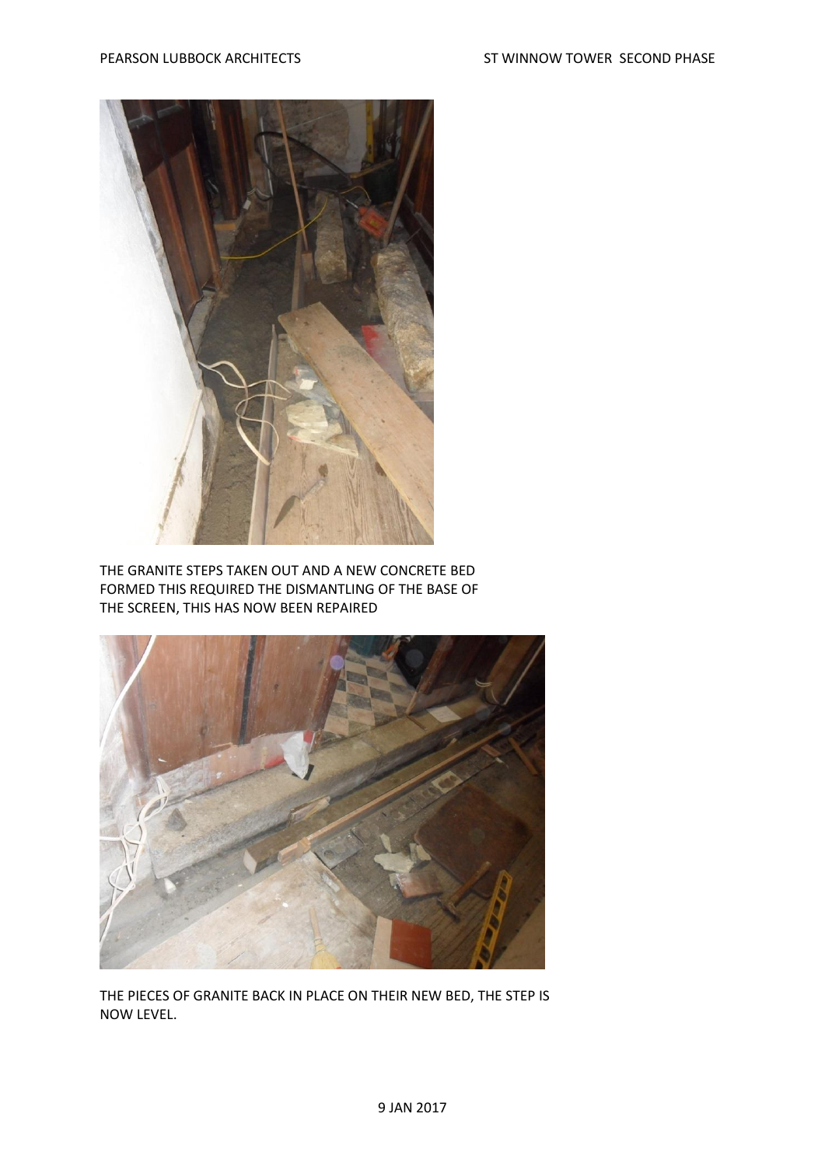

THE GRANITE STEPS TAKEN OUT AND A NEW CONCRETE BED FORMED THIS REQUIRED THE DISMANTLING OF THE BASE OF THE SCREEN, THIS HAS NOW BEEN REPAIRED



THE PIECES OF GRANITE BACK IN PLACE ON THEIR NEW BED, THE STEP IS NOW LEVEL.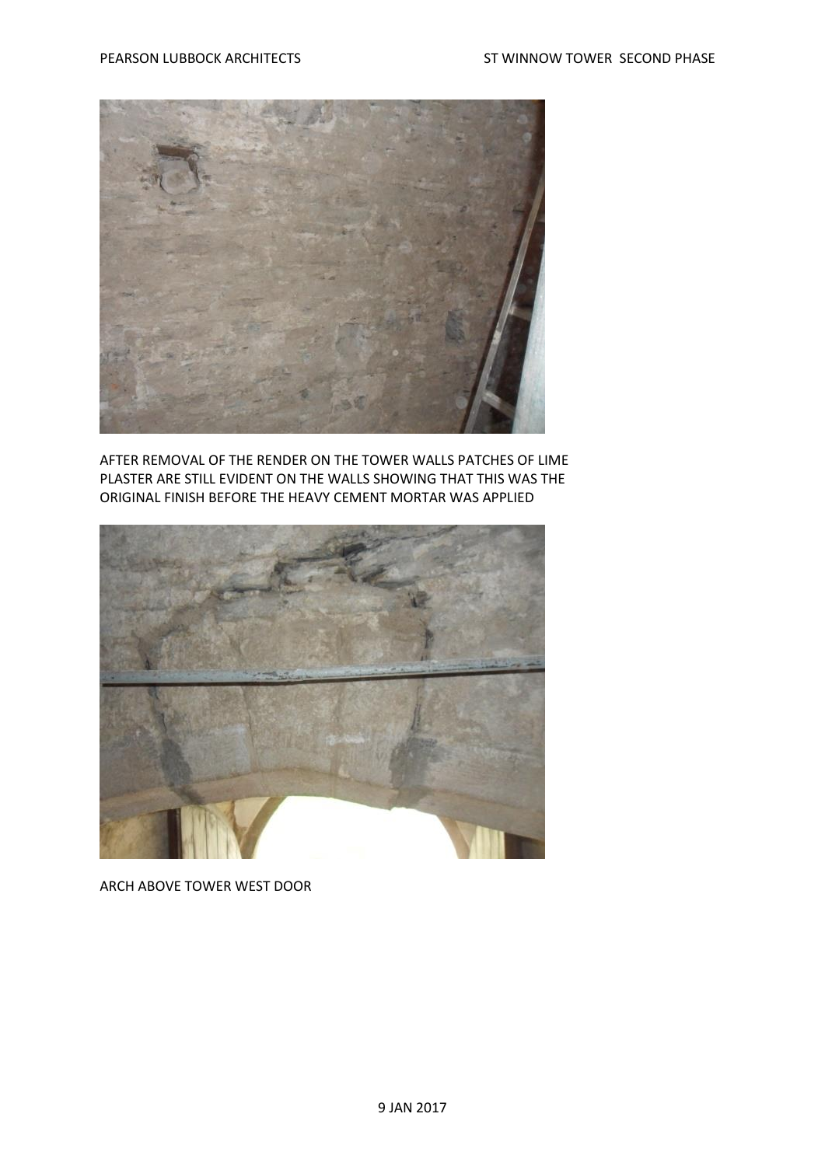

AFTER REMOVAL OF THE RENDER ON THE TOWER WALLS PATCHES OF LIME PLASTER ARE STILL EVIDENT ON THE WALLS SHOWING THAT THIS WAS THE ORIGINAL FINISH BEFORE THE HEAVY CEMENT MORTAR WAS APPLIED



ARCH ABOVE TOWER WEST DOOR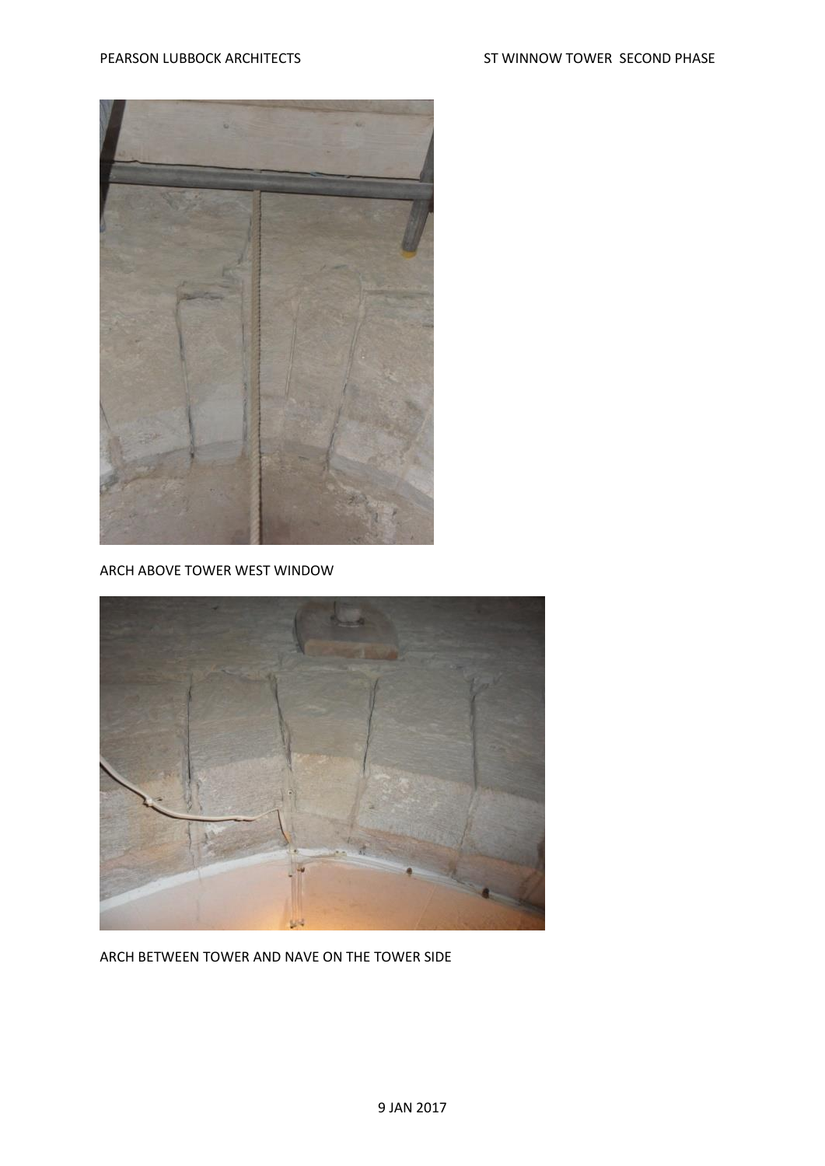

ARCH ABOVE TOWER WEST WINDOW



ARCH BETWEEN TOWER AND NAVE ON THE TOWER SIDE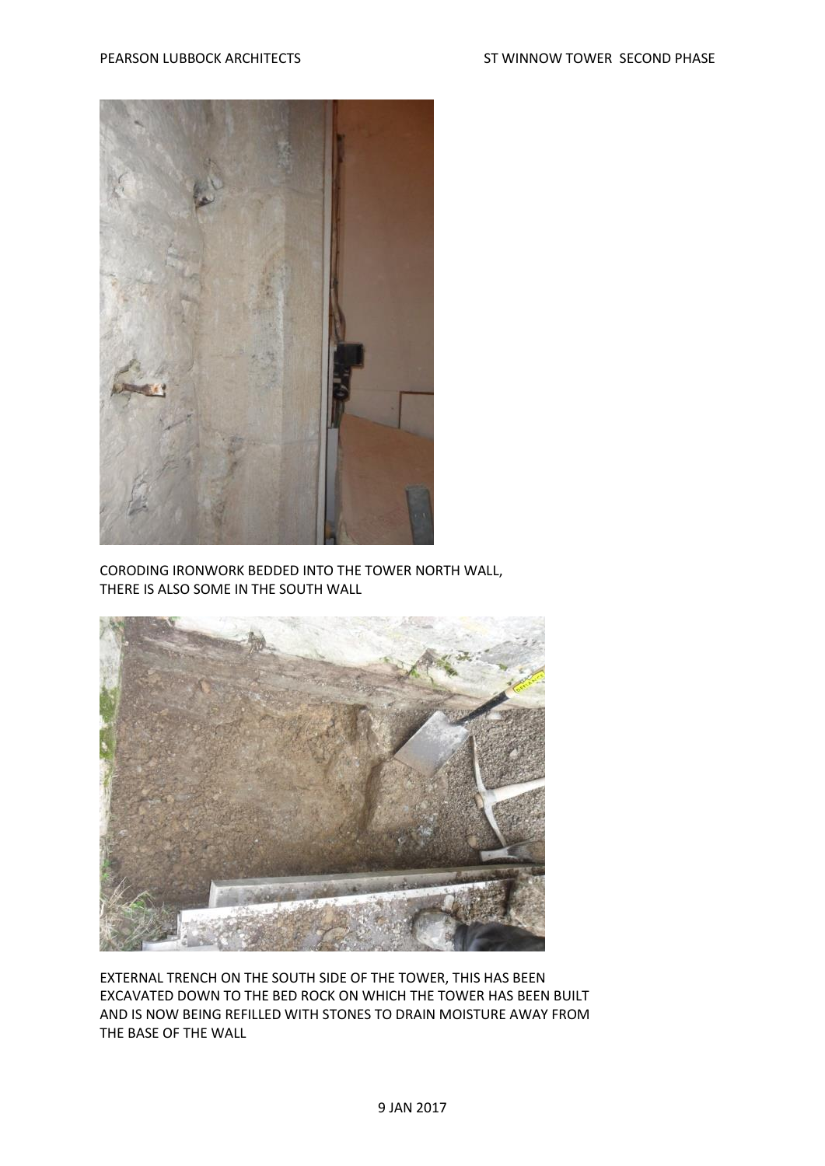

CORODING IRONWORK BEDDED INTO THE TOWER NORTH WALL, THERE IS ALSO SOME IN THE SOUTH WALL



EXTERNAL TRENCH ON THE SOUTH SIDE OF THE TOWER, THIS HAS BEEN EXCAVATED DOWN TO THE BED ROCK ON WHICH THE TOWER HAS BEEN BUILT AND IS NOW BEING REFILLED WITH STONES TO DRAIN MOISTURE AWAY FROM THE BASE OF THE WALL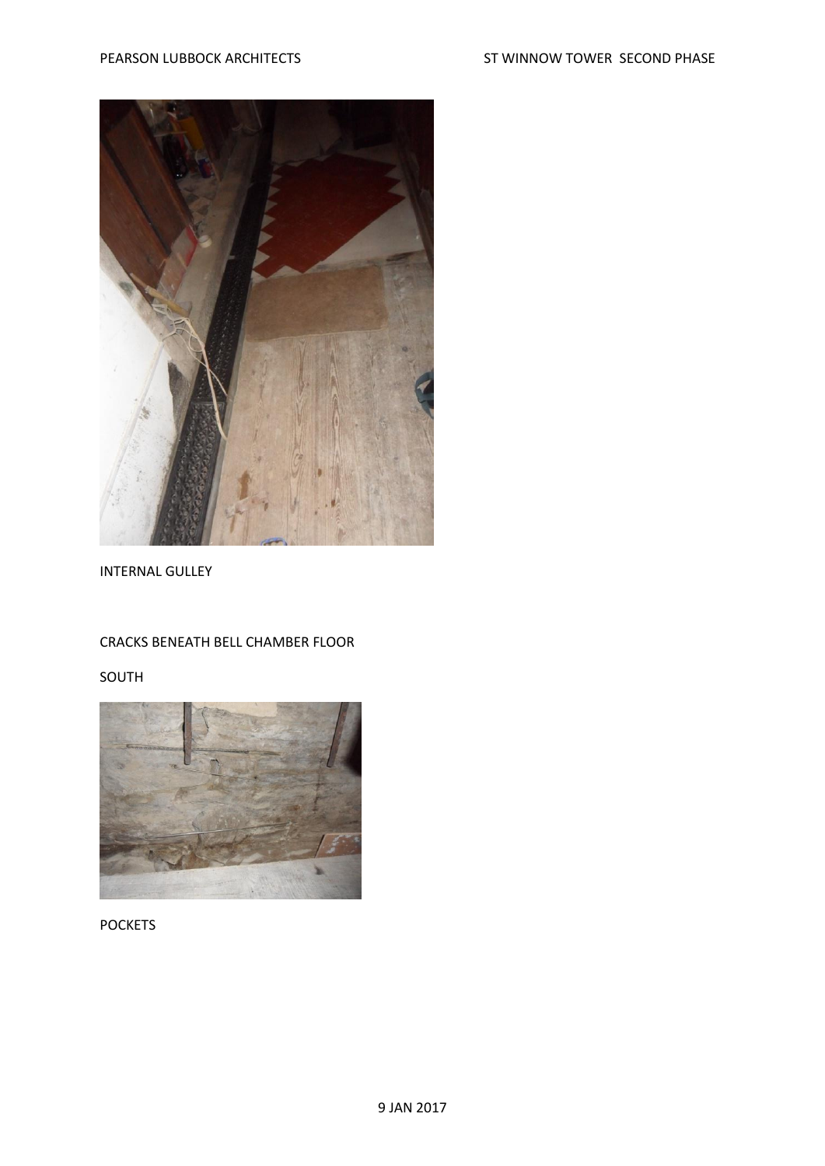

## INTERNAL GULLEY

## CRACKS BENEATH BELL CHAMBER FLOOR

SOUTH



POCKETS